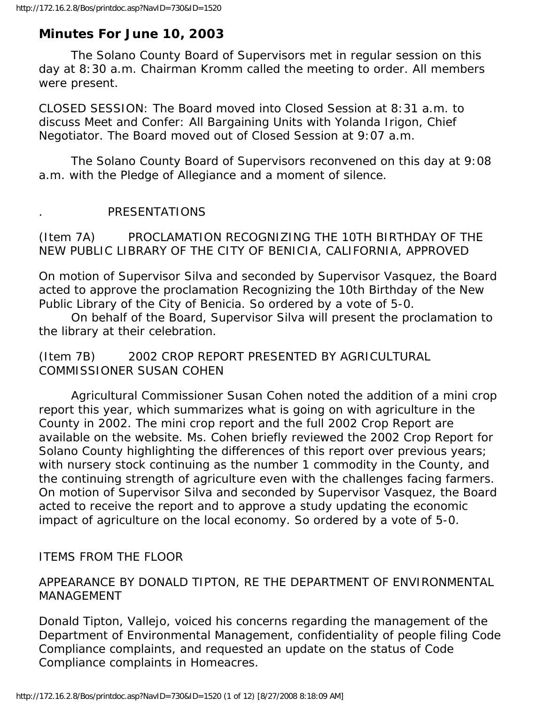# **Minutes For June 10, 2003**

 The Solano County Board of Supervisors met in regular session on this day at 8:30 a.m. Chairman Kromm called the meeting to order. All members were present.

CLOSED SESSION: The Board moved into Closed Session at 8:31 a.m. to discuss Meet and Confer: All Bargaining Units with Yolanda Irigon, Chief Negotiator. The Board moved out of Closed Session at 9:07 a.m.

 The Solano County Board of Supervisors reconvened on this day at 9:08 a.m. with the Pledge of Allegiance and a moment of silence.

#### . PRESENTATIONS

(Item 7A) PROCLAMATION RECOGNIZING THE 10TH BIRTHDAY OF THE NEW PUBLIC LIBRARY OF THE CITY OF BENICIA, CALIFORNIA, APPROVED

On motion of Supervisor Silva and seconded by Supervisor Vasquez, the Board acted to approve the proclamation Recognizing the 10th Birthday of the New Public Library of the City of Benicia. So ordered by a vote of 5-0.

 On behalf of the Board, Supervisor Silva will present the proclamation to the library at their celebration.

(Item 7B) 2002 CROP REPORT PRESENTED BY AGRICULTURAL COMMISSIONER SUSAN COHEN

 Agricultural Commissioner Susan Cohen noted the addition of a mini crop report this year, which summarizes what is going on with agriculture in the County in 2002. The mini crop report and the full 2002 Crop Report are available on the website. Ms. Cohen briefly reviewed the 2002 Crop Report for Solano County highlighting the differences of this report over previous years; with nursery stock continuing as the number 1 commodity in the County, and the continuing strength of agriculture even with the challenges facing farmers. On motion of Supervisor Silva and seconded by Supervisor Vasquez, the Board acted to receive the report and to approve a study updating the economic impact of agriculture on the local economy. So ordered by a vote of 5-0.

ITEMS FROM THE FLOOR

### APPEARANCE BY DONALD TIPTON, RE THE DEPARTMENT OF ENVIRONMENTAL MANAGEMENT

Donald Tipton, Vallejo, voiced his concerns regarding the management of the Department of Environmental Management, confidentiality of people filing Code Compliance complaints, and requested an update on the status of Code Compliance complaints in Homeacres.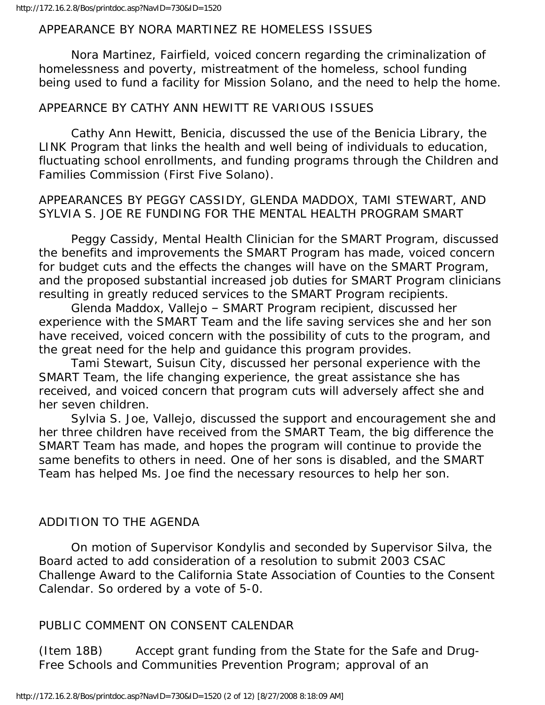#### APPEARANCE BY NORA MARTINEZ RE HOMELESS ISSUES

 Nora Martinez, Fairfield, voiced concern regarding the criminalization of homelessness and poverty, mistreatment of the homeless, school funding being used to fund a facility for Mission Solano, and the need to help the home.

#### APPEARNCE BY CATHY ANN HEWITT RE VARIOUS ISSUES

 Cathy Ann Hewitt, Benicia, discussed the use of the Benicia Library, the LINK Program that links the health and well being of individuals to education, fluctuating school enrollments, and funding programs through the Children and Families Commission (First Five Solano).

### APPEARANCES BY PEGGY CASSIDY, GLENDA MADDOX, TAMI STEWART, AND SYLVIA S. JOE RE FUNDING FOR THE MENTAL HEALTH PROGRAM SMART

 Peggy Cassidy, Mental Health Clinician for the SMART Program, discussed the benefits and improvements the SMART Program has made, voiced concern for budget cuts and the effects the changes will have on the SMART Program, and the proposed substantial increased job duties for SMART Program clinicians resulting in greatly reduced services to the SMART Program recipients.

 Glenda Maddox, Vallejo – SMART Program recipient, discussed her experience with the SMART Team and the life saving services she and her son have received, voiced concern with the possibility of cuts to the program, and the great need for the help and guidance this program provides.

 Tami Stewart, Suisun City, discussed her personal experience with the SMART Team, the life changing experience, the great assistance she has received, and voiced concern that program cuts will adversely affect she and her seven children.

 Sylvia S. Joe, Vallejo, discussed the support and encouragement she and her three children have received from the SMART Team, the big difference the SMART Team has made, and hopes the program will continue to provide the same benefits to others in need. One of her sons is disabled, and the SMART Team has helped Ms. Joe find the necessary resources to help her son.

# ADDITION TO THE AGENDA

 On motion of Supervisor Kondylis and seconded by Supervisor Silva, the Board acted to add consideration of a resolution to submit 2003 CSAC Challenge Award to the California State Association of Counties to the Consent Calendar. So ordered by a vote of 5-0.

### PUBLIC COMMENT ON CONSENT CALENDAR

(Item 18B) Accept grant funding from the State for the Safe and Drug-Free Schools and Communities Prevention Program; approval of an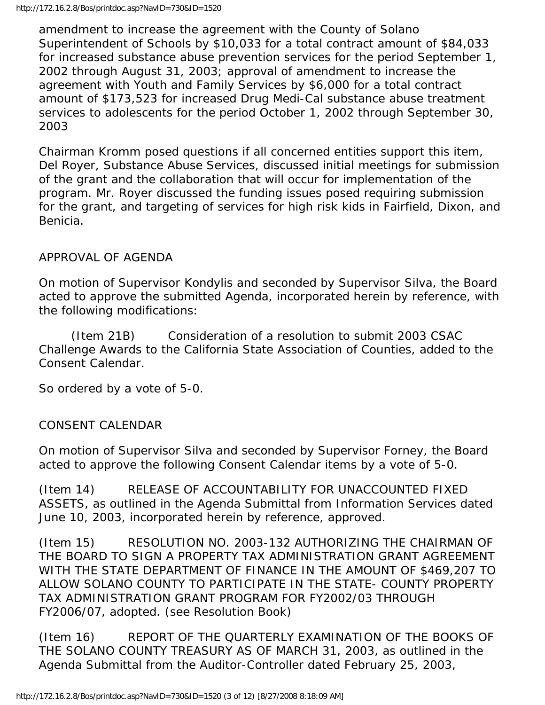amendment to increase the agreement with the County of Solano Superintendent of Schools by \$10,033 for a total contract amount of \$84,033 for increased substance abuse prevention services for the period September 1, 2002 through August 31, 2003; approval of amendment to increase the agreement with Youth and Family Services by \$6,000 for a total contract amount of \$173,523 for increased Drug Medi-Cal substance abuse treatment services to adolescents for the period October 1, 2002 through September 30, 2003

Chairman Kromm posed questions if all concerned entities support this item, Del Royer, Substance Abuse Services, discussed initial meetings for submission of the grant and the collaboration that will occur for implementation of the program. Mr. Royer discussed the funding issues posed requiring submission for the grant, and targeting of services for high risk kids in Fairfield, Dixon, and Benicia.

# APPROVAL OF AGENDA

On motion of Supervisor Kondylis and seconded by Supervisor Silva, the Board acted to approve the submitted Agenda, incorporated herein by reference, with the following modifications:

 (Item 21B) Consideration of a resolution to submit 2003 CSAC Challenge Awards to the California State Association of Counties, added to the Consent Calendar.

So ordered by a vote of 5-0.

### CONSENT CALENDAR

On motion of Supervisor Silva and seconded by Supervisor Forney, the Board acted to approve the following Consent Calendar items by a vote of 5-0.

(Item 14) RELEASE OF ACCOUNTABILITY FOR UNACCOUNTED FIXED ASSETS, as outlined in the Agenda Submittal from Information Services dated June 10, 2003, incorporated herein by reference, approved.

(Item 15) RESOLUTION NO. 2003-132 AUTHORIZING THE CHAIRMAN OF THE BOARD TO SIGN A PROPERTY TAX ADMINISTRATION GRANT AGREEMENT WITH THE STATE DEPARTMENT OF FINANCE IN THE AMOUNT OF \$469,207 TO ALLOW SOLANO COUNTY TO PARTICIPATE IN THE STATE- COUNTY PROPERTY TAX ADMINISTRATION GRANT PROGRAM FOR FY2002/03 THROUGH FY2006/07, adopted. (see Resolution Book)

(Item 16) REPORT OF THE QUARTERLY EXAMINATION OF THE BOOKS OF THE SOLANO COUNTY TREASURY AS OF MARCH 31, 2003, as outlined in the Agenda Submittal from the Auditor-Controller dated February 25, 2003,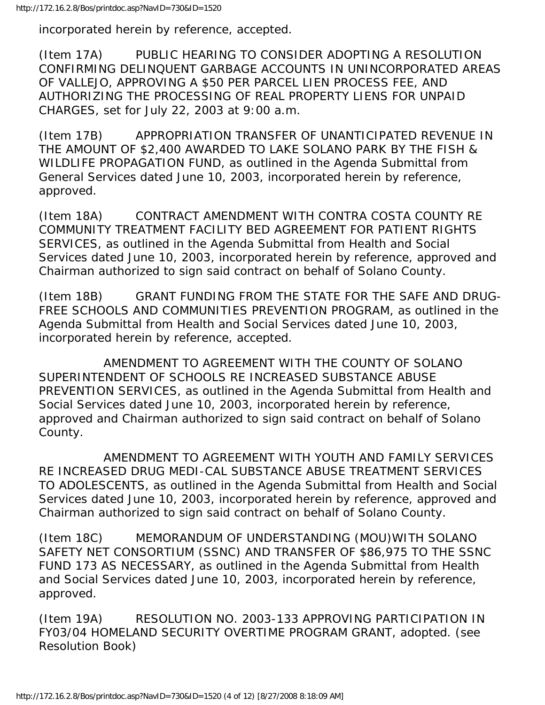incorporated herein by reference, accepted.

(Item 17A) PUBLIC HEARING TO CONSIDER ADOPTING A RESOLUTION CONFIRMING DELINQUENT GARBAGE ACCOUNTS IN UNINCORPORATED AREAS OF VALLEJO, APPROVING A \$50 PER PARCEL LIEN PROCESS FEE, AND AUTHORIZING THE PROCESSING OF REAL PROPERTY LIENS FOR UNPAID CHARGES, set for July 22, 2003 at 9:00 a.m.

(Item 17B) APPROPRIATION TRANSFER OF UNANTICIPATED REVENUE IN THE AMOUNT OF \$2,400 AWARDED TO LAKE SOLANO PARK BY THE FISH & WILDLIFE PROPAGATION FUND, as outlined in the Agenda Submittal from General Services dated June 10, 2003, incorporated herein by reference, approved.

(Item 18A) CONTRACT AMENDMENT WITH CONTRA COSTA COUNTY RE COMMUNITY TREATMENT FACILITY BED AGREEMENT FOR PATIENT RIGHTS SERVICES, as outlined in the Agenda Submittal from Health and Social Services dated June 10, 2003, incorporated herein by reference, approved and Chairman authorized to sign said contract on behalf of Solano County.

(Item 18B) GRANT FUNDING FROM THE STATE FOR THE SAFE AND DRUG-FREE SCHOOLS AND COMMUNITIES PREVENTION PROGRAM, as outlined in the Agenda Submittal from Health and Social Services dated June 10, 2003, incorporated herein by reference, accepted.

 AMENDMENT TO AGREEMENT WITH THE COUNTY OF SOLANO SUPERINTENDENT OF SCHOOLS RE INCREASED SUBSTANCE ABUSE PREVENTION SERVICES, as outlined in the Agenda Submittal from Health and Social Services dated June 10, 2003, incorporated herein by reference, approved and Chairman authorized to sign said contract on behalf of Solano County.

 AMENDMENT TO AGREEMENT WITH YOUTH AND FAMILY SERVICES RE INCREASED DRUG MEDI-CAL SUBSTANCE ABUSE TREATMENT SERVICES TO ADOLESCENTS, as outlined in the Agenda Submittal from Health and Social Services dated June 10, 2003, incorporated herein by reference, approved and Chairman authorized to sign said contract on behalf of Solano County.

(Item 18C) MEMORANDUM OF UNDERSTANDING (MOU)WITH SOLANO SAFETY NET CONSORTIUM (SSNC) AND TRANSFER OF \$86,975 TO THE SSNC FUND 173 AS NECESSARY, as outlined in the Agenda Submittal from Health and Social Services dated June 10, 2003, incorporated herein by reference, approved.

(Item 19A) RESOLUTION NO. 2003-133 APPROVING PARTICIPATION IN FY03/04 HOMELAND SECURITY OVERTIME PROGRAM GRANT, adopted. (see Resolution Book)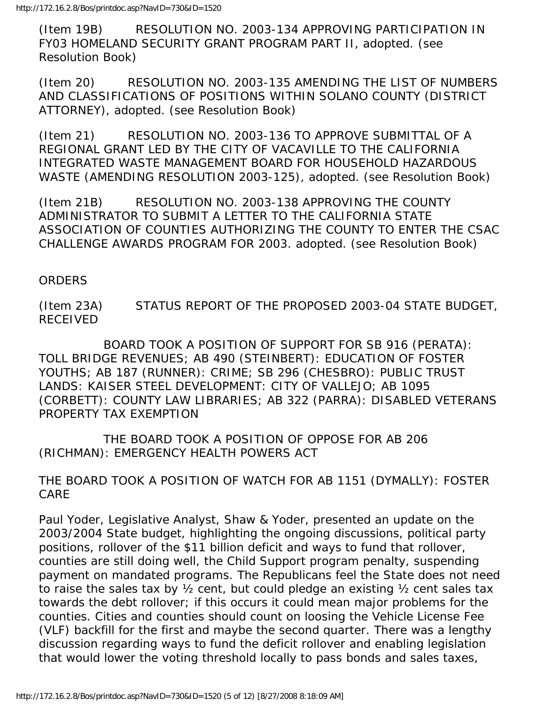(Item 19B) RESOLUTION NO. 2003-134 APPROVING PARTICIPATION IN FY03 HOMELAND SECURITY GRANT PROGRAM PART II, adopted. (see Resolution Book)

(Item 20) RESOLUTION NO. 2003-135 AMENDING THE LIST OF NUMBERS AND CLASSIFICATIONS OF POSITIONS WITHIN SOLANO COUNTY (DISTRICT ATTORNEY), adopted. (see Resolution Book)

(Item 21) RESOLUTION NO. 2003-136 TO APPROVE SUBMITTAL OF A REGIONAL GRANT LED BY THE CITY OF VACAVILLE TO THE CALIFORNIA INTEGRATED WASTE MANAGEMENT BOARD FOR HOUSEHOLD HAZARDOUS WASTE (AMENDING RESOLUTION 2003-125), adopted. (see Resolution Book)

(Item 21B) RESOLUTION NO. 2003-138 APPROVING THE COUNTY ADMINISTRATOR TO SUBMIT A LETTER TO THE CALIFORNIA STATE ASSOCIATION OF COUNTIES AUTHORIZING THE COUNTY TO ENTER THE CSAC CHALLENGE AWARDS PROGRAM FOR 2003. adopted. (see Resolution Book)

### ORDERS

(Item 23A) STATUS REPORT OF THE PROPOSED 2003-04 STATE BUDGET, RECEIVED

 BOARD TOOK A POSITION OF SUPPORT FOR SB 916 (PERATA): TOLL BRIDGE REVENUES; AB 490 (STEINBERT): EDUCATION OF FOSTER YOUTHS; AB 187 (RUNNER): CRIME; SB 296 (CHESBRO): PUBLIC TRUST LANDS: KAISER STEEL DEVELOPMENT: CITY OF VALLEJO; AB 1095 (CORBETT): COUNTY LAW LIBRARIES; AB 322 (PARRA): DISABLED VETERANS PROPERTY TAX EXEMPTION

 THE BOARD TOOK A POSITION OF OPPOSE FOR AB 206 (RICHMAN): EMERGENCY HEALTH POWERS ACT

THE BOARD TOOK A POSITION OF WATCH FOR AB 1151 (DYMALLY): FOSTER CARE

Paul Yoder, Legislative Analyst, Shaw & Yoder, presented an update on the 2003/2004 State budget, highlighting the ongoing discussions, political party positions, rollover of the \$11 billion deficit and ways to fund that rollover, counties are still doing well, the Child Support program penalty, suspending payment on mandated programs. The Republicans feel the State does not need to raise the sales tax by ½ cent, but could pledge an existing ½ cent sales tax towards the debt rollover; if this occurs it could mean major problems for the counties. Cities and counties should count on loosing the Vehicle License Fee (VLF) backfill for the first and maybe the second quarter. There was a lengthy discussion regarding ways to fund the deficit rollover and enabling legislation that would lower the voting threshold locally to pass bonds and sales taxes,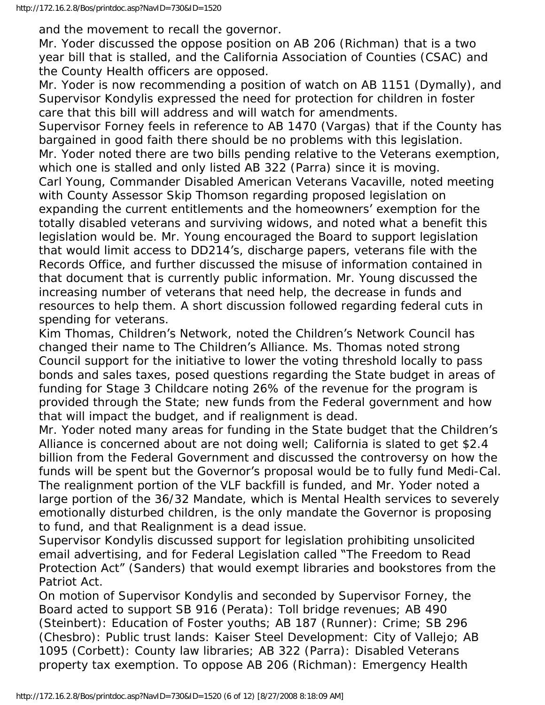and the movement to recall the governor.

Mr. Yoder discussed the oppose position on AB 206 (Richman) that is a two year bill that is stalled, and the California Association of Counties (CSAC) and the County Health officers are opposed.

Mr. Yoder is now recommending a position of watch on AB 1151 (Dymally), and Supervisor Kondylis expressed the need for protection for children in foster care that this bill will address and will watch for amendments.

Supervisor Forney feels in reference to AB 1470 (Vargas) that if the County has bargained in good faith there should be no problems with this legislation. Mr. Yoder noted there are two bills pending relative to the Veterans exemption, which one is stalled and only listed AB 322 (Parra) since it is moving. Carl Young, Commander Disabled American Veterans Vacaville, noted meeting with County Assessor Skip Thomson regarding proposed legislation on expanding the current entitlements and the homeowners' exemption for the totally disabled veterans and surviving widows, and noted what a benefit this legislation would be. Mr. Young encouraged the Board to support legislation that would limit access to DD214's, discharge papers, veterans file with the Records Office, and further discussed the misuse of information contained in that document that is currently public information. Mr. Young discussed the increasing number of veterans that need help, the decrease in funds and resources to help them. A short discussion followed regarding federal cuts in spending for veterans.

Kim Thomas, Children's Network, noted the Children's Network Council has changed their name to The Children's Alliance. Ms. Thomas noted strong Council support for the initiative to lower the voting threshold locally to pass bonds and sales taxes, posed questions regarding the State budget in areas of funding for Stage 3 Childcare noting 26% of the revenue for the program is provided through the State; new funds from the Federal government and how that will impact the budget, and if realignment is dead.

Mr. Yoder noted many areas for funding in the State budget that the Children's Alliance is concerned about are not doing well; California is slated to get \$2.4 billion from the Federal Government and discussed the controversy on how the funds will be spent but the Governor's proposal would be to fully fund Medi-Cal. The realignment portion of the VLF backfill is funded, and Mr. Yoder noted a large portion of the 36/32 Mandate, which is Mental Health services to severely emotionally disturbed children, is the only mandate the Governor is proposing to fund, and that Realignment is a dead issue.

Supervisor Kondylis discussed support for legislation prohibiting unsolicited email advertising, and for Federal Legislation called "The Freedom to Read Protection Act" (Sanders) that would exempt libraries and bookstores from the Patriot Act.

On motion of Supervisor Kondylis and seconded by Supervisor Forney, the Board acted to support SB 916 (Perata): Toll bridge revenues; AB 490 (Steinbert): Education of Foster youths; AB 187 (Runner): Crime; SB 296 (Chesbro): Public trust lands: Kaiser Steel Development: City of Vallejo; AB 1095 (Corbett): County law libraries; AB 322 (Parra): Disabled Veterans property tax exemption. To oppose AB 206 (Richman): Emergency Health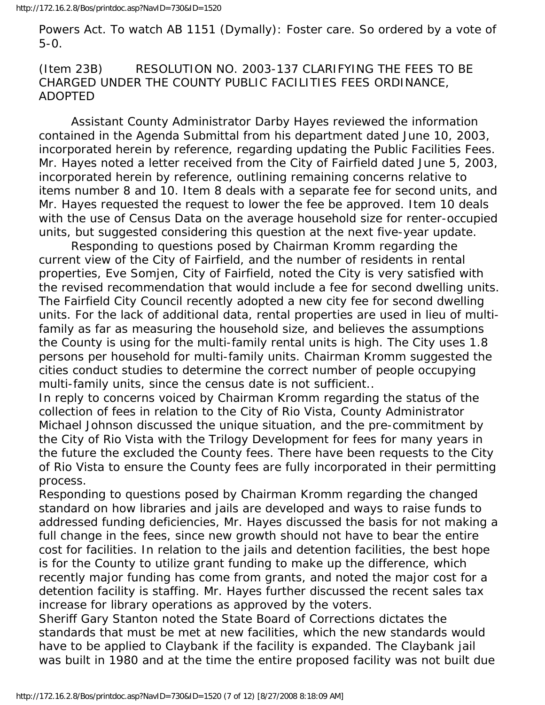Powers Act. To watch AB 1151 (Dymally): Foster care. So ordered by a vote of 5-0.

(Item 23B) RESOLUTION NO. 2003-137 CLARIFYING THE FEES TO BE CHARGED UNDER THE COUNTY PUBLIC FACILITIES FEES ORDINANCE, ADOPTED

 Assistant County Administrator Darby Hayes reviewed the information contained in the Agenda Submittal from his department dated June 10, 2003, incorporated herein by reference, regarding updating the Public Facilities Fees. Mr. Hayes noted a letter received from the City of Fairfield dated June 5, 2003, incorporated herein by reference, outlining remaining concerns relative to items number 8 and 10. Item 8 deals with a separate fee for second units, and Mr. Hayes requested the request to lower the fee be approved. Item 10 deals with the use of Census Data on the average household size for renter-occupied units, but suggested considering this question at the next five-year update.

 Responding to questions posed by Chairman Kromm regarding the current view of the City of Fairfield, and the number of residents in rental properties, Eve Somjen, City of Fairfield, noted the City is very satisfied with the revised recommendation that would include a fee for second dwelling units. The Fairfield City Council recently adopted a new city fee for second dwelling units. For the lack of additional data, rental properties are used in lieu of multifamily as far as measuring the household size, and believes the assumptions the County is using for the multi-family rental units is high. The City uses 1.8 persons per household for multi-family units. Chairman Kromm suggested the cities conduct studies to determine the correct number of people occupying multi-family units, since the census date is not sufficient..

In reply to concerns voiced by Chairman Kromm regarding the status of the collection of fees in relation to the City of Rio Vista, County Administrator Michael Johnson discussed the unique situation, and the pre-commitment by the City of Rio Vista with the Trilogy Development for fees for many years in the future the excluded the County fees. There have been requests to the City of Rio Vista to ensure the County fees are fully incorporated in their permitting process.

Responding to questions posed by Chairman Kromm regarding the changed standard on how libraries and jails are developed and ways to raise funds to addressed funding deficiencies, Mr. Hayes discussed the basis for not making a full change in the fees, since new growth should not have to bear the entire cost for facilities. In relation to the jails and detention facilities, the best hope is for the County to utilize grant funding to make up the difference, which recently major funding has come from grants, and noted the major cost for a detention facility is staffing. Mr. Hayes further discussed the recent sales tax increase for library operations as approved by the voters.

Sheriff Gary Stanton noted the State Board of Corrections dictates the standards that must be met at new facilities, which the new standards would have to be applied to Claybank if the facility is expanded. The Claybank jail was built in 1980 and at the time the entire proposed facility was not built due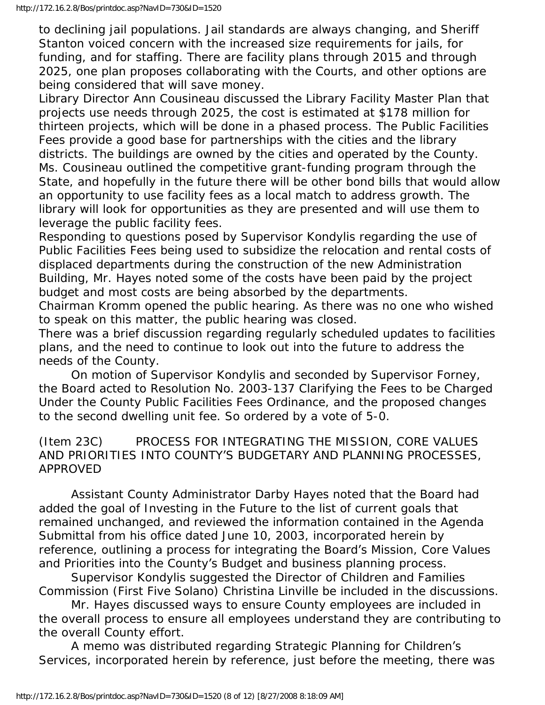to declining jail populations. Jail standards are always changing, and Sheriff Stanton voiced concern with the increased size requirements for jails, for funding, and for staffing. There are facility plans through 2015 and through 2025, one plan proposes collaborating with the Courts, and other options are being considered that will save money.

Library Director Ann Cousineau discussed the Library Facility Master Plan that projects use needs through 2025, the cost is estimated at \$178 million for thirteen projects, which will be done in a phased process. The Public Facilities Fees provide a good base for partnerships with the cities and the library districts. The buildings are owned by the cities and operated by the County. Ms. Cousineau outlined the competitive grant-funding program through the State, and hopefully in the future there will be other bond bills that would allow an opportunity to use facility fees as a local match to address growth. The library will look for opportunities as they are presented and will use them to leverage the public facility fees.

Responding to questions posed by Supervisor Kondylis regarding the use of Public Facilities Fees being used to subsidize the relocation and rental costs of displaced departments during the construction of the new Administration Building, Mr. Hayes noted some of the costs have been paid by the project budget and most costs are being absorbed by the departments.

Chairman Kromm opened the public hearing. As there was no one who wished to speak on this matter, the public hearing was closed.

There was a brief discussion regarding regularly scheduled updates to facilities plans, and the need to continue to look out into the future to address the needs of the County.

 On motion of Supervisor Kondylis and seconded by Supervisor Forney, the Board acted to Resolution No. 2003-137 Clarifying the Fees to be Charged Under the County Public Facilities Fees Ordinance, and the proposed changes to the second dwelling unit fee. So ordered by a vote of 5-0.

## (Item 23C) PROCESS FOR INTEGRATING THE MISSION, CORE VALUES AND PRIORITIES INTO COUNTY'S BUDGETARY AND PLANNING PROCESSES, APPROVED

 Assistant County Administrator Darby Hayes noted that the Board had added the goal of Investing in the Future to the list of current goals that remained unchanged, and reviewed the information contained in the Agenda Submittal from his office dated June 10, 2003, incorporated herein by reference, outlining a process for integrating the Board's Mission, Core Values and Priorities into the County's Budget and business planning process.

 Supervisor Kondylis suggested the Director of Children and Families Commission (First Five Solano) Christina Linville be included in the discussions.

 Mr. Hayes discussed ways to ensure County employees are included in the overall process to ensure all employees understand they are contributing to the overall County effort.

 A memo was distributed regarding Strategic Planning for Children's Services, incorporated herein by reference, just before the meeting, there was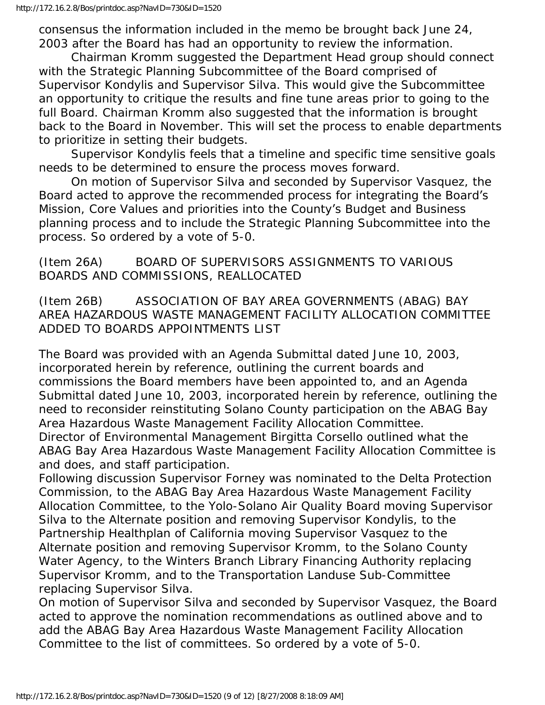consensus the information included in the memo be brought back June 24, 2003 after the Board has had an opportunity to review the information.

 Chairman Kromm suggested the Department Head group should connect with the Strategic Planning Subcommittee of the Board comprised of Supervisor Kondylis and Supervisor Silva. This would give the Subcommittee an opportunity to critique the results and fine tune areas prior to going to the full Board. Chairman Kromm also suggested that the information is brought back to the Board in November. This will set the process to enable departments to prioritize in setting their budgets.

 Supervisor Kondylis feels that a timeline and specific time sensitive goals needs to be determined to ensure the process moves forward.

 On motion of Supervisor Silva and seconded by Supervisor Vasquez, the Board acted to approve the recommended process for integrating the Board's Mission, Core Values and priorities into the County's Budget and Business planning process and to include the Strategic Planning Subcommittee into the process. So ordered by a vote of 5-0.

## (Item 26A) BOARD OF SUPERVISORS ASSIGNMENTS TO VARIOUS BOARDS AND COMMISSIONS, REALLOCATED

(Item 26B) ASSOCIATION OF BAY AREA GOVERNMENTS (ABAG) BAY AREA HAZARDOUS WASTE MANAGEMENT FACILITY ALLOCATION COMMITTEE ADDED TO BOARDS APPOINTMENTS LIST

The Board was provided with an Agenda Submittal dated June 10, 2003, incorporated herein by reference, outlining the current boards and commissions the Board members have been appointed to, and an Agenda Submittal dated June 10, 2003, incorporated herein by reference, outlining the need to reconsider reinstituting Solano County participation on the ABAG Bay Area Hazardous Waste Management Facility Allocation Committee. Director of Environmental Management Birgitta Corsello outlined what the ABAG Bay Area Hazardous Waste Management Facility Allocation Committee is and does, and staff participation.

Following discussion Supervisor Forney was nominated to the Delta Protection Commission, to the ABAG Bay Area Hazardous Waste Management Facility Allocation Committee, to the Yolo-Solano Air Quality Board moving Supervisor Silva to the Alternate position and removing Supervisor Kondylis, to the Partnership Healthplan of California moving Supervisor Vasquez to the Alternate position and removing Supervisor Kromm, to the Solano County Water Agency, to the Winters Branch Library Financing Authority replacing Supervisor Kromm, and to the Transportation Landuse Sub-Committee replacing Supervisor Silva.

On motion of Supervisor Silva and seconded by Supervisor Vasquez, the Board acted to approve the nomination recommendations as outlined above and to add the ABAG Bay Area Hazardous Waste Management Facility Allocation Committee to the list of committees. So ordered by a vote of 5-0.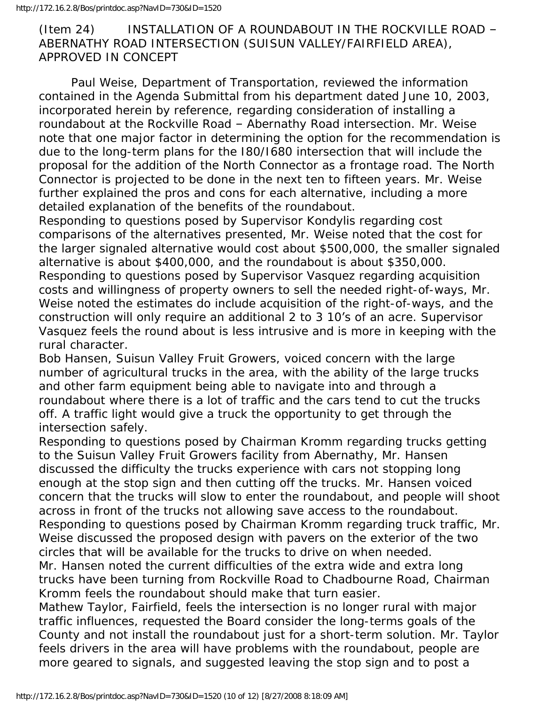## (Item 24) INSTALLATION OF A ROUNDABOUT IN THE ROCKVILLE ROAD – ABERNATHY ROAD INTERSECTION (SUISUN VALLEY/FAIRFIELD AREA), APPROVED IN CONCEPT

 Paul Weise, Department of Transportation, reviewed the information contained in the Agenda Submittal from his department dated June 10, 2003, incorporated herein by reference, regarding consideration of installing a roundabout at the Rockville Road – Abernathy Road intersection. Mr. Weise note that one major factor in determining the option for the recommendation is due to the long-term plans for the I80/I680 intersection that will include the proposal for the addition of the North Connector as a frontage road. The North Connector is projected to be done in the next ten to fifteen years. Mr. Weise further explained the pros and cons for each alternative, including a more detailed explanation of the benefits of the roundabout.

Responding to questions posed by Supervisor Kondylis regarding cost comparisons of the alternatives presented, Mr. Weise noted that the cost for the larger signaled alternative would cost about \$500,000, the smaller signaled alternative is about \$400,000, and the roundabout is about \$350,000. Responding to questions posed by Supervisor Vasquez regarding acquisition costs and willingness of property owners to sell the needed right-of-ways, Mr. Weise noted the estimates do include acquisition of the right-of-ways, and the construction will only require an additional 2 to 3 10's of an acre. Supervisor Vasquez feels the round about is less intrusive and is more in keeping with the rural character.

Bob Hansen, Suisun Valley Fruit Growers, voiced concern with the large number of agricultural trucks in the area, with the ability of the large trucks and other farm equipment being able to navigate into and through a roundabout where there is a lot of traffic and the cars tend to cut the trucks off. A traffic light would give a truck the opportunity to get through the intersection safely.

Responding to questions posed by Chairman Kromm regarding trucks getting to the Suisun Valley Fruit Growers facility from Abernathy, Mr. Hansen discussed the difficulty the trucks experience with cars not stopping long enough at the stop sign and then cutting off the trucks. Mr. Hansen voiced concern that the trucks will slow to enter the roundabout, and people will shoot across in front of the trucks not allowing save access to the roundabout. Responding to questions posed by Chairman Kromm regarding truck traffic, Mr. Weise discussed the proposed design with pavers on the exterior of the two circles that will be available for the trucks to drive on when needed. Mr. Hansen noted the current difficulties of the extra wide and extra long

trucks have been turning from Rockville Road to Chadbourne Road, Chairman Kromm feels the roundabout should make that turn easier.

Mathew Taylor, Fairfield, feels the intersection is no longer rural with major traffic influences, requested the Board consider the long-terms goals of the County and not install the roundabout just for a short-term solution. Mr. Taylor feels drivers in the area will have problems with the roundabout, people are more geared to signals, and suggested leaving the stop sign and to post a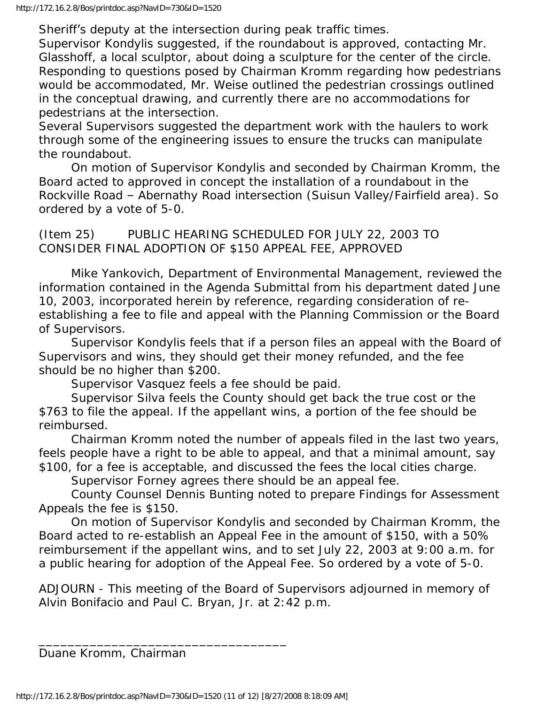Sheriff's deputy at the intersection during peak traffic times.

Supervisor Kondylis suggested, if the roundabout is approved, contacting Mr. Glasshoff, a local sculptor, about doing a sculpture for the center of the circle. Responding to questions posed by Chairman Kromm regarding how pedestrians would be accommodated, Mr. Weise outlined the pedestrian crossings outlined in the conceptual drawing, and currently there are no accommodations for pedestrians at the intersection.

Several Supervisors suggested the department work with the haulers to work through some of the engineering issues to ensure the trucks can manipulate the roundabout.

 On motion of Supervisor Kondylis and seconded by Chairman Kromm, the Board acted to approved in concept the installation of a roundabout in the Rockville Road – Abernathy Road intersection (Suisun Valley/Fairfield area). So ordered by a vote of 5-0.

(Item 25) PUBLIC HEARING SCHEDULED FOR JULY 22, 2003 TO CONSIDER FINAL ADOPTION OF \$150 APPEAL FEE, APPROVED

 Mike Yankovich, Department of Environmental Management, reviewed the information contained in the Agenda Submittal from his department dated June 10, 2003, incorporated herein by reference, regarding consideration of reestablishing a fee to file and appeal with the Planning Commission or the Board of Supervisors.

 Supervisor Kondylis feels that if a person files an appeal with the Board of Supervisors and wins, they should get their money refunded, and the fee should be no higher than \$200.

Supervisor Vasquez feels a fee should be paid.

 Supervisor Silva feels the County should get back the true cost or the \$763 to file the appeal. If the appellant wins, a portion of the fee should be reimbursed.

 Chairman Kromm noted the number of appeals filed in the last two years, feels people have a right to be able to appeal, and that a minimal amount, say \$100, for a fee is acceptable, and discussed the fees the local cities charge.

Supervisor Forney agrees there should be an appeal fee.

 County Counsel Dennis Bunting noted to prepare Findings for Assessment Appeals the fee is \$150.

 On motion of Supervisor Kondylis and seconded by Chairman Kromm, the Board acted to re-establish an Appeal Fee in the amount of \$150, with a 50% reimbursement if the appellant wins, and to set July 22, 2003 at 9:00 a.m. for a public hearing for adoption of the Appeal Fee. So ordered by a vote of 5-0.

ADJOURN - This meeting of the Board of Supervisors adjourned in memory of Alvin Bonifacio and Paul C. Bryan, Jr. at 2:42 p.m.

Duane Kromm, Chairman

\_\_\_\_\_\_\_\_\_\_\_\_\_\_\_\_\_\_\_\_\_\_\_\_\_\_\_\_\_\_\_\_\_\_